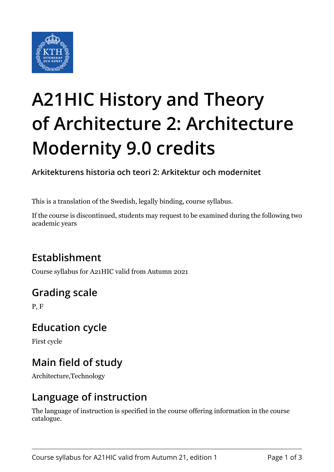

# **A21HIC History and Theory of Architecture 2: Architecture Modernity 9.0 credits**

**Arkitekturens historia och teori 2: Arkitektur och modernitet**

This is a translation of the Swedish, legally binding, course syllabus.

If the course is discontinued, students may request to be examined during the following two academic years

# **Establishment**

Course syllabus for A21HIC valid from Autumn 2021

# **Grading scale**

P, F

## **Education cycle**

First cycle

# **Main field of study**

Architecture,Technology

## **Language of instruction**

The language of instruction is specified in the course offering information in the course catalogue.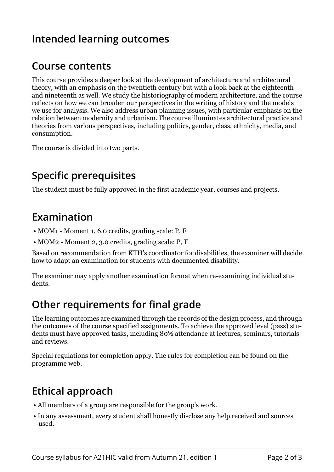## **Intended learning outcomes**

## **Course contents**

This course provides a deeper look at the development of architecture and architectural theory, with an emphasis on the twentieth century but with a look back at the eighteenth and nineteenth as well. We study the historiography of modern architecture, and the course reflects on how we can broaden our perspectives in the writing of history and the models we use for analysis. We also address urban planning issues, with particular emphasis on the relation between modernity and urbanism. The course illuminates architectural practice and theories from various perspectives, including politics, gender, class, ethnicity, media, and consumption.

The course is divided into two parts.

## **Specific prerequisites**

The student must be fully approved in the first academic year, courses and projects.

#### **Examination**

- MOM1 Moment 1, 6.0 credits, grading scale: P, F
- MOM2 Moment 2, 3.0 credits, grading scale: P, F

Based on recommendation from KTH's coordinator for disabilities, the examiner will decide how to adapt an examination for students with documented disability.

The examiner may apply another examination format when re-examining individual students.

#### **Other requirements for final grade**

The learning outcomes are examined through the records of the design process, and through the outcomes of the course specified assignments. To achieve the approved level (pass) students must have approved tasks, including 80% attendance at lectures, seminars, tutorials and reviews.

Special regulations for completion apply. The rules for completion can be found on the programme web.

# **Ethical approach**

- All members of a group are responsible for the group's work.
- In any assessment, every student shall honestly disclose any help received and sources used.